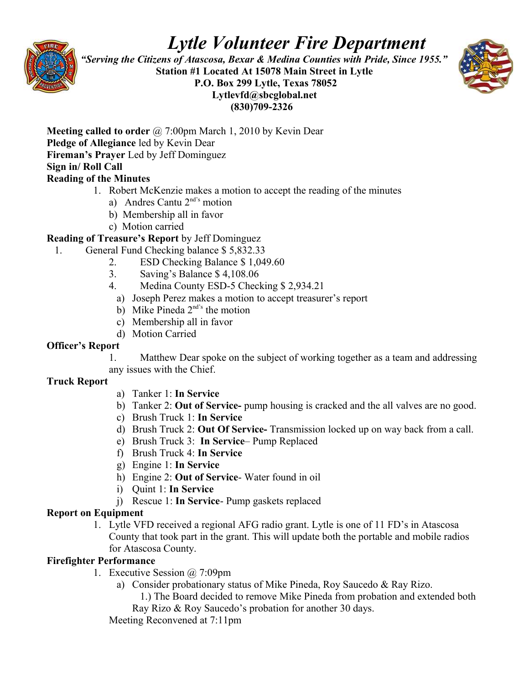

# *Lytle Volunteer Fire Department*

 *"Serving the Citizens of Atascosa, Bexar & Medina Counties with Pride, Since 1955."*  **Station #1 Located At 15078 Main Street in Lytle P.O. Box 299 Lytle, Texas 78052 Lytlevfd@sbcglobal.net (830)709-2326**



**Meeting called to order** @ 7:00pm March 1, 2010 by Kevin Dear **Pledge of Allegiance** led by Kevin Dear **Fireman's Prayer** Led by Jeff Dominguez **Sign in/ Roll Call** 

## **Reading of the Minutes**

- 1. Robert McKenzie makes a motion to accept the reading of the minutes
	- a) Andres Cantu  $2<sup>nd's</sup>$  motion
	- b) Membership all in favor
	- c) Motion carried

### **Reading of Treasure's Report** by Jeff Dominguez

- 1. General Fund Checking balance \$ 5,832.33
	- 2. ESD Checking Balance \$ 1,049.60
	- 3. Saving's Balance \$ 4,108.06
	- 4. Medina County ESD-5 Checking \$ 2,934.21
	- a) Joseph Perez makes a motion to accept treasurer's report
	- b) Mike Pineda  $2<sup>nd's</sup>$  the motion
	- c) Membership all in favor
	- d) Motion Carried

#### **Officer's Report**

1. Matthew Dear spoke on the subject of working together as a team and addressing any issues with the Chief.

#### **Truck Report**

- a) Tanker 1: **In Service**
- b) Tanker 2: **Out of Service-** pump housing is cracked and the all valves are no good.
- c) Brush Truck 1: **In Service**
- d) Brush Truck 2: **Out Of Service-** Transmission locked up on way back from a call.
- e) Brush Truck 3: **In Service** Pump Replaced
- f) Brush Truck 4: **In Service**
- g) Engine 1: **In Service**
- h) Engine 2: **Out of Service** Water found in oil
- i) Quint 1: **In Service**
- j) Rescue 1: **In Service** Pump gaskets replaced

### **Report on Equipment**

1. Lytle VFD received a regional AFG radio grant. Lytle is one of 11 FD's in Atascosa County that took part in the grant. This will update both the portable and mobile radios for Atascosa County.

### **Firefighter Performance**

- 1. Executive Session @ 7:09pm
	- a) Consider probationary status of Mike Pineda, Roy Saucedo & Ray Rizo. 1.) The Board decided to remove Mike Pineda from probation and extended both
		- Ray Rizo & Roy Saucedo's probation for another 30 days.

Meeting Reconvened at 7:11pm